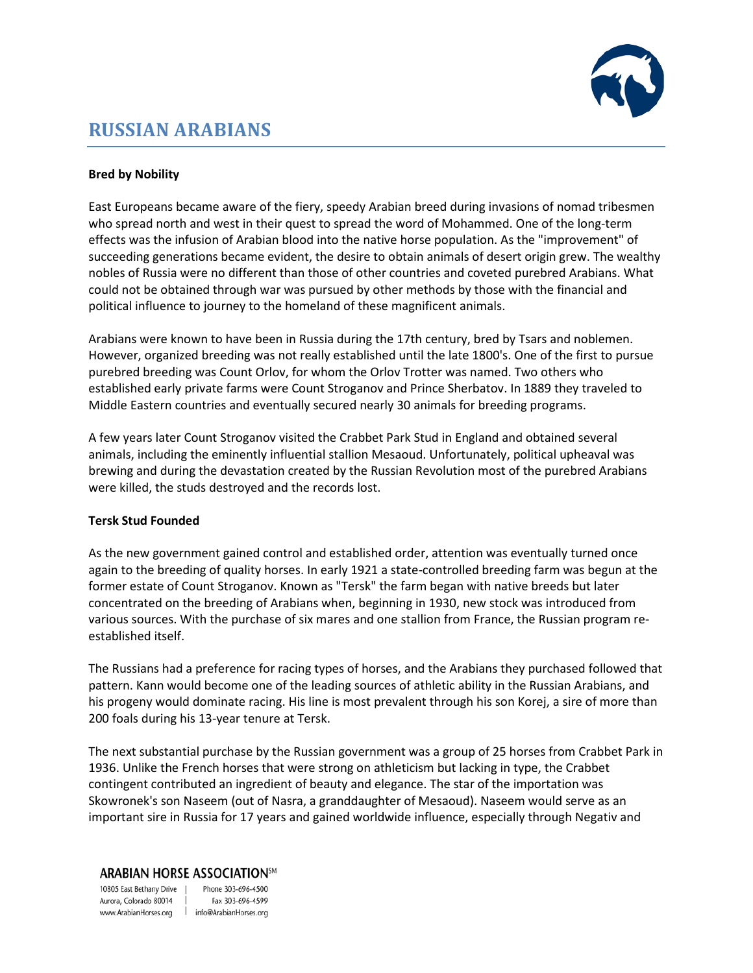

# **RUSSIAN ARABIANS**

## **Bred by Nobility**

East Europeans became aware of the fiery, speedy Arabian breed during invasions of nomad tribesmen who spread north and west in their quest to spread the word of Mohammed. One of the long-term effects was the infusion of Arabian blood into the native horse population. As the "improvement" of succeeding generations became evident, the desire to obtain animals of desert origin grew. The wealthy nobles of Russia were no different than those of other countries and coveted purebred Arabians. What could not be obtained through war was pursued by other methods by those with the financial and political influence to journey to the homeland of these magnificent animals.

Arabians were known to have been in Russia during the 17th century, bred by Tsars and noblemen. However, organized breeding was not really established until the late 1800's. One of the first to pursue purebred breeding was Count Orlov, for whom the Orlov Trotter was named. Two others who established early private farms were Count Stroganov and Prince Sherbatov. In 1889 they traveled to Middle Eastern countries and eventually secured nearly 30 animals for breeding programs.

A few years later Count Stroganov visited the Crabbet Park Stud in England and obtained several animals, including the eminently influential stallion Mesaoud. Unfortunately, political upheaval was brewing and during the devastation created by the Russian Revolution most of the purebred Arabians were killed, the studs destroyed and the records lost.

## **Tersk Stud Founded**

As the new government gained control and established order, attention was eventually turned once again to the breeding of quality horses. In early 1921 a state-controlled breeding farm was begun at the former estate of Count Stroganov. Known as "Tersk" the farm began with native breeds but later concentrated on the breeding of Arabians when, beginning in 1930, new stock was introduced from various sources. With the purchase of six mares and one stallion from France, the Russian program reestablished itself.

The Russians had a preference for racing types of horses, and the Arabians they purchased followed that pattern. Kann would become one of the leading sources of athletic ability in the Russian Arabians, and his progeny would dominate racing. His line is most prevalent through his son Korej, a sire of more than 200 foals during his 13-year tenure at Tersk.

The next substantial purchase by the Russian government was a group of 25 horses from Crabbet Park in 1936. Unlike the French horses that were strong on athleticism but lacking in type, the Crabbet contingent contributed an ingredient of beauty and elegance. The star of the importation was Skowronek's son Naseem (out of Nasra, a granddaughter of Mesaoud). Naseem would serve as an important sire in Russia for 17 years and gained worldwide influence, especially through Negativ and

### **ARABIAN HORSE ASSOCIATION**5M

10805 East Bethany Drive | Aurora, Colorado 80014 | www.ArabianHorses.org | info@ArabianHorses.org

Phone 303-696-4500 Fax 303-696-4599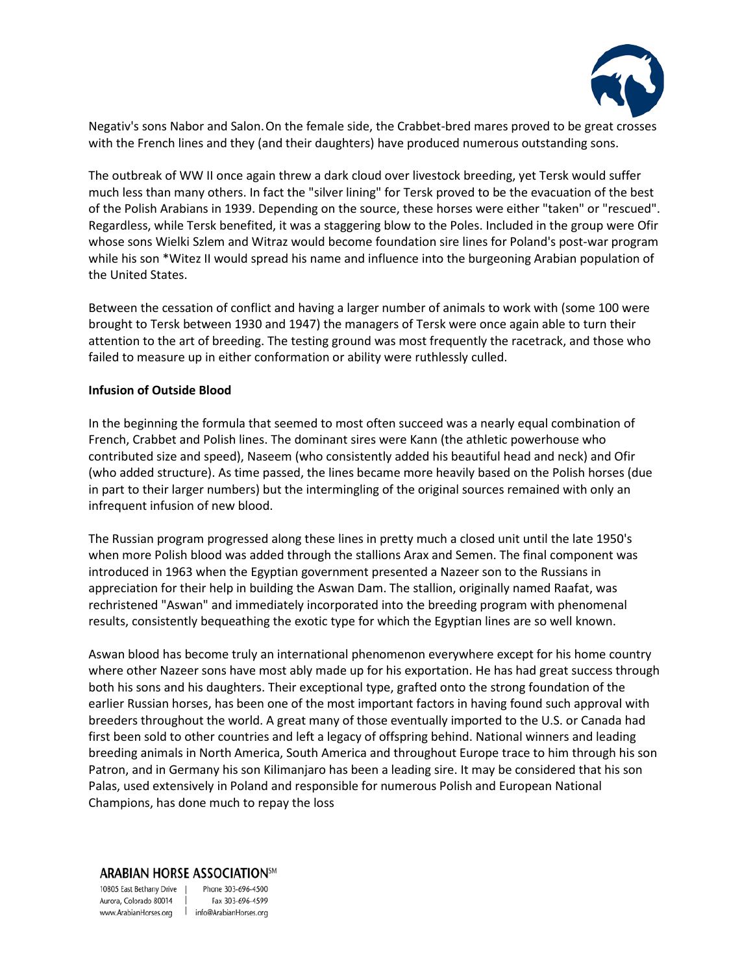

Negativ's sons Nabor and Salon.On the female side, the Crabbet-bred mares proved to be great crosses with the French lines and they (and their daughters) have produced numerous outstanding sons.

The outbreak of WW II once again threw a dark cloud over livestock breeding, yet Tersk would suffer much less than many others. In fact the "silver lining" for Tersk proved to be the evacuation of the best of the Polish Arabians in 1939. Depending on the source, these horses were either "taken" or "rescued". Regardless, while Tersk benefited, it was a staggering blow to the Poles. Included in the group were Ofir whose sons Wielki Szlem and Witraz would become foundation sire lines for Poland's post-war program while his son \*Witez II would spread his name and influence into the burgeoning Arabian population of the United States.

Between the cessation of conflict and having a larger number of animals to work with (some 100 were brought to Tersk between 1930 and 1947) the managers of Tersk were once again able to turn their attention to the art of breeding. The testing ground was most frequently the racetrack, and those who failed to measure up in either conformation or ability were ruthlessly culled.

#### **Infusion of Outside Blood**

In the beginning the formula that seemed to most often succeed was a nearly equal combination of French, Crabbet and Polish lines. The dominant sires were Kann (the athletic powerhouse who contributed size and speed), Naseem (who consistently added his beautiful head and neck) and Ofir (who added structure). As time passed, the lines became more heavily based on the Polish horses (due in part to their larger numbers) but the intermingling of the original sources remained with only an infrequent infusion of new blood.

The Russian program progressed along these lines in pretty much a closed unit until the late 1950's when more Polish blood was added through the stallions Arax and Semen. The final component was introduced in 1963 when the Egyptian government presented a Nazeer son to the Russians in appreciation for their help in building the Aswan Dam. The stallion, originally named Raafat, was rechristened "Aswan" and immediately incorporated into the breeding program with phenomenal results, consistently bequeathing the exotic type for which the Egyptian lines are so well known.

Aswan blood has become truly an international phenomenon everywhere except for his home country where other Nazeer sons have most ably made up for his exportation. He has had great success through both his sons and his daughters. Their exceptional type, grafted onto the strong foundation of the earlier Russian horses, has been one of the most important factors in having found such approval with breeders throughout the world. A great many of those eventually imported to the U.S. or Canada had first been sold to other countries and left a legacy of offspring behind. National winners and leading breeding animals in North America, South America and throughout Europe trace to him through his son Patron, and in Germany his son Kilimanjaro has been a leading sire. It may be considered that his son Palas, used extensively in Poland and responsible for numerous Polish and European National Champions, has done much to repay the loss

#### **ARABIAN HORSE ASSOCIATION**5M

10805 East Bethany Drive | Aurora, Colorado 80014 | www.ArabianHorses.org | info@ArabianHorses.org

Phone 303-696-4500 Fax 303-696-4599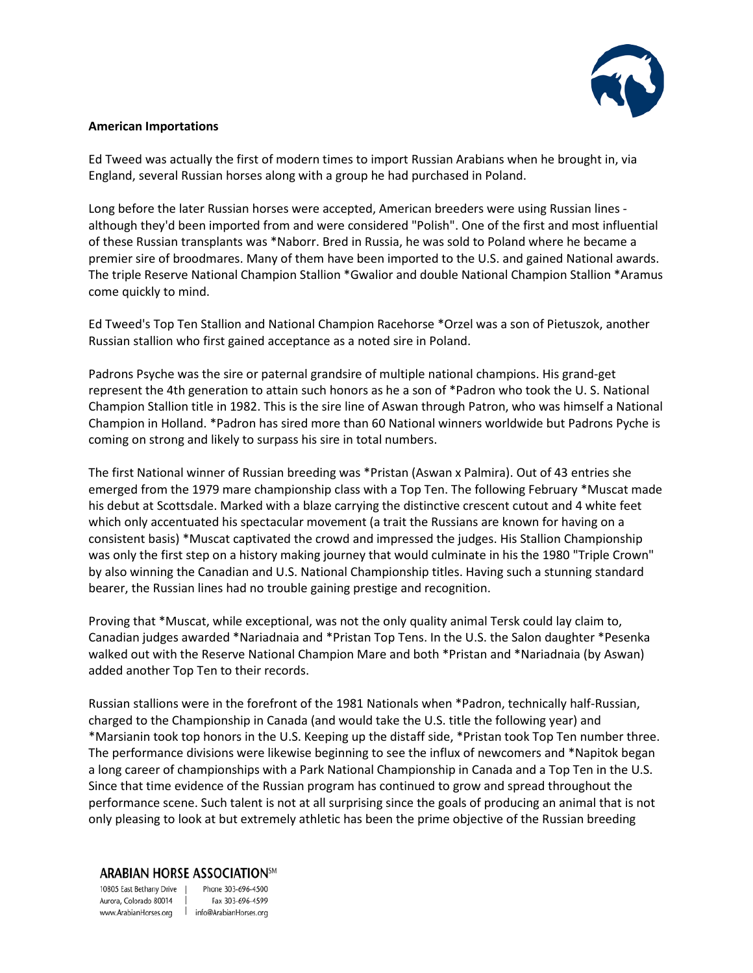

### **American Importations**

Ed Tweed was actually the first of modern times to import Russian Arabians when he brought in, via England, several Russian horses along with a group he had purchased in Poland.

Long before the later Russian horses were accepted, American breeders were using Russian lines although they'd been imported from and were considered "Polish". One of the first and most influential of these Russian transplants was \*Naborr. Bred in Russia, he was sold to Poland where he became a premier sire of broodmares. Many of them have been imported to the U.S. and gained National awards. The triple Reserve National Champion Stallion \*Gwalior and double National Champion Stallion \*Aramus come quickly to mind.

Ed Tweed's Top Ten Stallion and National Champion Racehorse \*Orzel was a son of Pietuszok, another Russian stallion who first gained acceptance as a noted sire in Poland.

Padrons Psyche was the sire or paternal grandsire of multiple national champions. His grand-get represent the 4th generation to attain such honors as he a son of \*Padron who took the U. S. National Champion Stallion title in 1982. This is the sire line of Aswan through Patron, who was himself a National Champion in Holland. \*Padron has sired more than 60 National winners worldwide but Padrons Pyche is coming on strong and likely to surpass his sire in total numbers.

The first National winner of Russian breeding was \*Pristan (Aswan x Palmira). Out of 43 entries she emerged from the 1979 mare championship class with a Top Ten. The following February \*Muscat made his debut at Scottsdale. Marked with a blaze carrying the distinctive crescent cutout and 4 white feet which only accentuated his spectacular movement (a trait the Russians are known for having on a consistent basis) \*Muscat captivated the crowd and impressed the judges. His Stallion Championship was only the first step on a history making journey that would culminate in his the 1980 "Triple Crown" by also winning the Canadian and U.S. National Championship titles. Having such a stunning standard bearer, the Russian lines had no trouble gaining prestige and recognition.

Proving that \*Muscat, while exceptional, was not the only quality animal Tersk could lay claim to, Canadian judges awarded \*Nariadnaia and \*Pristan Top Tens. In the U.S. the Salon daughter \*Pesenka walked out with the Reserve National Champion Mare and both \*Pristan and \*Nariadnaia (by Aswan) added another Top Ten to their records.

Russian stallions were in the forefront of the 1981 Nationals when \*Padron, technically half-Russian, charged to the Championship in Canada (and would take the U.S. title the following year) and \*Marsianin took top honors in the U.S. Keeping up the distaff side, \*Pristan took Top Ten number three. The performance divisions were likewise beginning to see the influx of newcomers and \*Napitok began a long career of championships with a Park National Championship in Canada and a Top Ten in the U.S. Since that time evidence of the Russian program has continued to grow and spread throughout the performance scene. Such talent is not at all surprising since the goals of producing an animal that is not only pleasing to look at but extremely athletic has been the prime objective of the Russian breeding

### **ARABIAN HORSE ASSOCIATION**5M

10805 East Bethany Drive | Phone 303-696-4500 Aurora, Colorado 80014 | www.ArabianHorses.org | info@ArabianHorses.org

Fax 303-696-4599